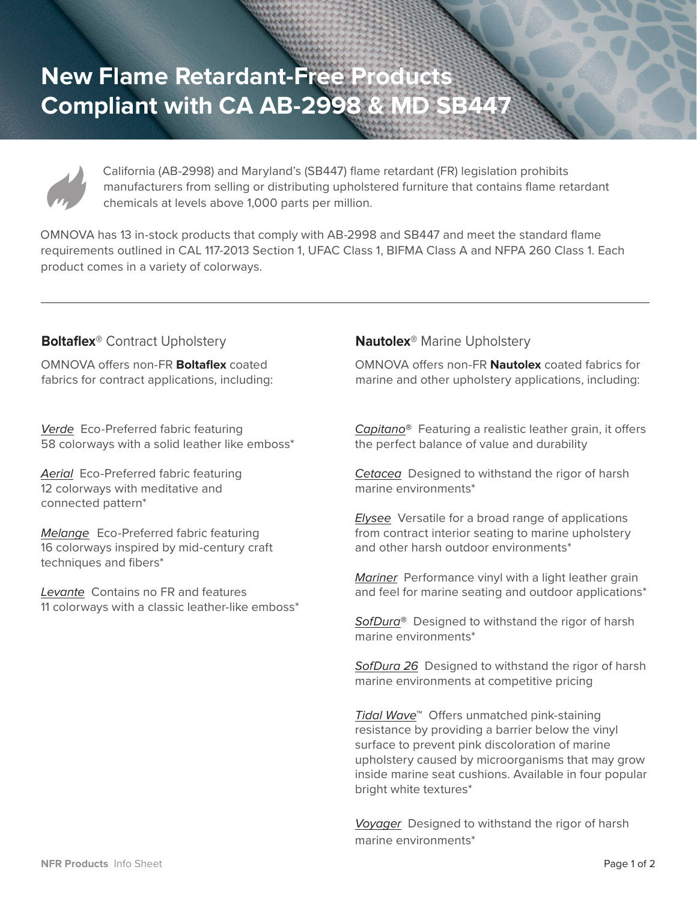**New Flame Retardant-Free Products Compliant with CA AB-2998 & MD SB447**



California (AB-2998) and Maryland's (SB447) flame retardant (FR) legislation prohibits manufacturers from selling or distributing upholstered furniture that contains flame retardant chemicals at levels above 1,000 parts per million.

OMNOVA has 13 in-stock products that comply with AB-2998 and SB447 and meet the standard flame requirements outlined in CAL 117-2013 Section 1, UFAC Class 1, BIFMA Class A and NFPA 260 Class 1. Each product comes in a variety of colorways.

## **Boltaflex®** Contract Upholstery

OMNOVA offers non-FR **Boltaflex** coated fabrics for contract applications, including:

Verde Eco-Preferred fabric featuring 58 colorways with a solid leather like emboss\*

Aerial Eco-Preferred fabric featuring 12 colorways with meditative and connected pattern\*

Melange Eco-Preferred fabric featuring 16 colorways inspired by mid-century craft techniques and fibers\*

Levante Contains no FR and features 11 colorways with a classic leather-like emboss\*

## **Nautolex®** Marine Upholstery

OMNOVA offers non-FR **Nautolex** coated fabrics for marine and other upholstery applications, including:

Capitano**®** Featuring a realistic leather grain, it offers the perfect balance of value and durability

Cetacea Designed to withstand the rigor of harsh marine environments\*

**Elysee** Versatile for a broad range of applications from contract interior seating to marine upholstery and other harsh outdoor environments\*

Mariner Performance vinyl with a light leather grain and feel for marine seating and outdoor applications\*

SofDura**®** Designed to withstand the rigor of harsh marine environments\*

SofDura 26 Designed to withstand the rigor of harsh marine environments at competitive pricing

Tidal Wave™ Offers unmatched pink-staining resistance by providing a barrier below the vinyl surface to prevent pink discoloration of marine upholstery caused by microorganisms that may grow inside marine seat cushions. Available in four popular bright white textures\*

Voyager Designed to withstand the rigor of harsh marine environments\*